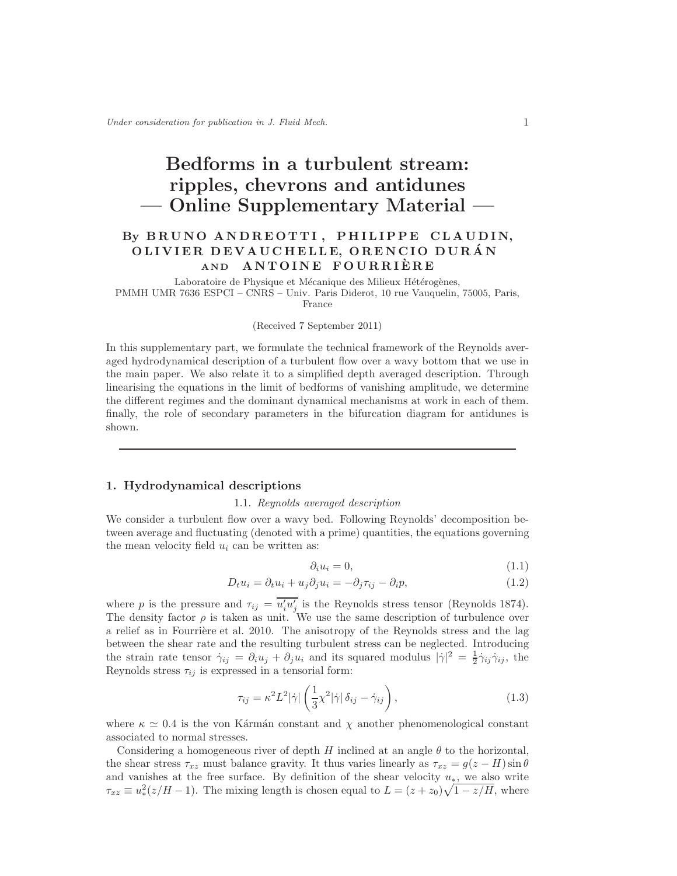# Bedforms in a turbulent stream: ripples, chevrons and antidunes — Online Supplementary Material —

# By BRUNO ANDREOTTI, PHILIPPE CLAUDIN, OLIVIER DEVAUCHELLE, ORENCIO DURAN AND ANTOINE FOURRIERE

Laboratoire de Physique et Mécanique des Milieux Hétérogènes, PMMH UMR 7636 ESPCI – CNRS – Univ. Paris Diderot, 10 rue Vauquelin, 75005, Paris, France

#### (Received 7 September 2011)

In this supplementary part, we formulate the technical framework of the Reynolds averaged hydrodynamical description of a turbulent flow over a wavy bottom that we use in the main paper. We also relate it to a simplified depth averaged description. Through linearising the equations in the limit of bedforms of vanishing amplitude, we determine the different regimes and the dominant dynamical mechanisms at work in each of them. finally, the role of secondary parameters in the bifurcation diagram for antidunes is shown.

### 1. Hydrodynamical descriptions

#### 1.1. Reynolds averaged description

We consider a turbulent flow over a wavy bed. Following Reynolds' decomposition between average and fluctuating (denoted with a prime) quantities, the equations governing the mean velocity field  $u_i$  can be written as:

$$
\partial_i u_i = 0,\tag{1.1}
$$

$$
D_t u_i = \partial_t u_i + u_j \partial_j u_i = -\partial_j \tau_{ij} - \partial_i p,\tag{1.2}
$$

where p is the pressure and  $\tau_{ij} = \overline{u'_i u'_j}$  is the Reynolds stress tensor (Reynolds 1874). The density factor  $\rho$  is taken as unit. We use the same description of turbulence over a relief as in Fourrière et al. 2010. The anisotropy of the Reynolds stress and the lag between the shear rate and the resulting turbulent stress can be neglected. Introducing the strain rate tensor  $\dot{\gamma}_{ij} = \partial_i u_j + \partial_j u_i$  and its squared modulus  $|\dot{\gamma}|^2 = \frac{1}{2} \dot{\gamma}_{ij} \dot{\gamma}_{ij}$ , the Reynolds stress  $\tau_{ij}$  is expressed in a tensorial form:

$$
\tau_{ij} = \kappa^2 L^2 |\dot{\gamma}| \left( \frac{1}{3} \chi^2 |\dot{\gamma}| \delta_{ij} - \dot{\gamma}_{ij} \right), \tag{1.3}
$$

where  $\kappa \simeq 0.4$  is the von Kármán constant and  $\chi$  another phenomenological constant associated to normal stresses.

Considering a homogeneous river of depth H inclined at an angle  $\theta$  to the horizontal, the shear stress  $\tau_{xz}$  must balance gravity. It thus varies linearly as  $\tau_{xz} = g(z - H) \sin \theta$ and vanishes at the free surface. By definition of the shear velocity  $u_*$ , we also write  $\tau_{xz} \equiv u_*^2(z/H - 1)$ . The mixing length is chosen equal to  $L = (z + z_0)\sqrt{1 - z/H}$ , where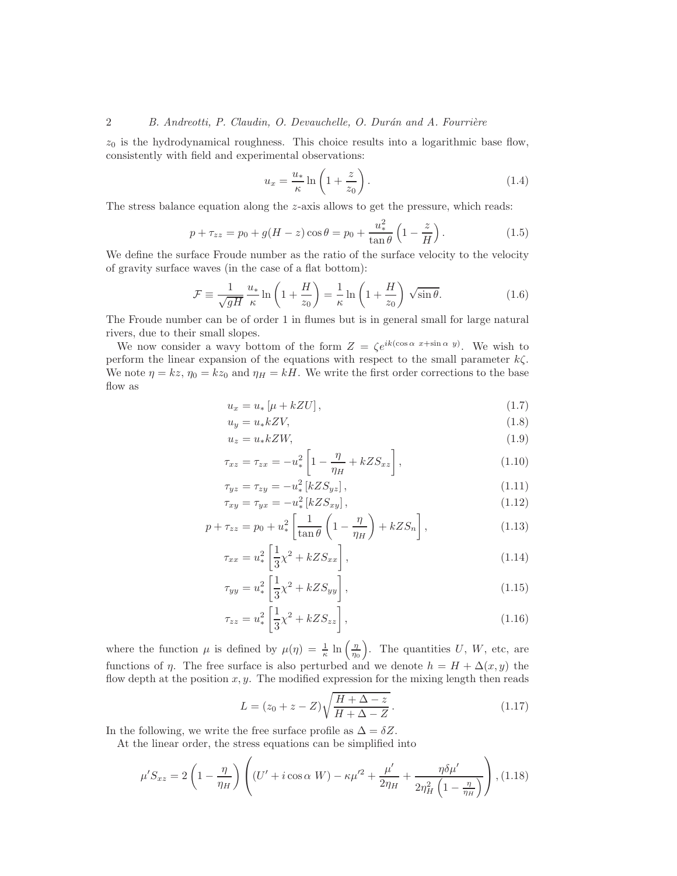$z_0$  is the hydrodynamical roughness. This choice results into a logarithmic base flow, consistently with field and experimental observations:

$$
u_x = \frac{u_*}{\kappa} \ln \left( 1 + \frac{z}{z_0} \right). \tag{1.4}
$$

The stress balance equation along the  $z$ -axis allows to get the pressure, which reads:

$$
p + \tau_{zz} = p_0 + g(H - z)\cos\theta = p_0 + \frac{u_*^2}{\tan\theta} \left(1 - \frac{z}{H}\right). \tag{1.5}
$$

We define the surface Froude number as the ratio of the surface velocity to the velocity of gravity surface waves (in the case of a flat bottom):

$$
\mathcal{F} \equiv \frac{1}{\sqrt{gH}} \frac{u_*}{\kappa} \ln \left( 1 + \frac{H}{z_0} \right) = \frac{1}{\kappa} \ln \left( 1 + \frac{H}{z_0} \right) \sqrt{\sin \theta}.
$$
 (1.6)

The Froude number can be of order 1 in flumes but is in general small for large natural rivers, due to their small slopes.

We now consider a wavy bottom of the form  $Z = \zeta e^{ik(\cos \alpha x + \sin \alpha y)}$ . We wish to perform the linear expansion of the equations with respect to the small parameter  $k\zeta$ . We note  $\eta = kz$ ,  $\eta_0 = kz_0$  and  $\eta_H = kH$ . We write the first order corrections to the base flow as

$$
u_x = u_* \left[ \mu + kZU \right], \tag{1.7}
$$

$$
u_y = u_* k Z V, \tag{1.8}
$$

$$
u_z = u_* k Z W, \tag{1.9}
$$

$$
\tau_{xz} = \tau_{zx} = -u_*^2 \left[ 1 - \frac{\eta}{\eta_H} + kZ S_{xz} \right],\tag{1.10}
$$

$$
\tau_{yz} = \tau_{zy} = -u_*^2 \left[ kZ S_{yz} \right],\tag{1.11}
$$

$$
\tau_{xy} = \tau_{yx} = -u_*^2 \left[ kZ S_{xy} \right],\tag{1.12}
$$

$$
p + \tau_{zz} = p_0 + u_*^2 \left[ \frac{1}{\tan \theta} \left( 1 - \frac{\eta}{\eta_H} \right) + k Z S_n \right],
$$
\n(1.13)

$$
\tau_{xx} = u_*^2 \left[ \frac{1}{3} \chi^2 + k Z S_{xx} \right], \tag{1.14}
$$

$$
\tau_{yy} = u_*^2 \left[ \frac{1}{3} \chi^2 + k Z S_{yy} \right],
$$
\n(1.15)

$$
\tau_{zz} = u_*^2 \left[ \frac{1}{3} \chi^2 + k Z S_{zz} \right],\tag{1.16}
$$

where the function  $\mu$  is defined by  $\mu(\eta) = \frac{1}{\kappa} \ln \left( \frac{\eta}{\eta_0} \right)$ . The quantities U, W, etc, are functions of  $\eta$ . The free surface is also perturbed and we denote  $h = H + \Delta(x, y)$  the flow depth at the position  $x, y$ . The modified expression for the mixing length then reads

$$
L = (z_0 + z - Z) \sqrt{\frac{H + \Delta - z}{H + \Delta - Z}}.
$$
\n(1.17)

In the following, we write the free surface profile as  $\Delta = \delta Z$ .

At the linear order, the stress equations can be simplified into

$$
\mu'S_{xz} = 2\left(1 - \frac{\eta}{\eta_H}\right)\left((U' + i\cos\alpha W) - \kappa\mu'^2 + \frac{\mu'}{2\eta_H} + \frac{\eta\delta\mu'}{2\eta_H^2\left(1 - \frac{\eta}{\eta_H}\right)}\right), (1.18)
$$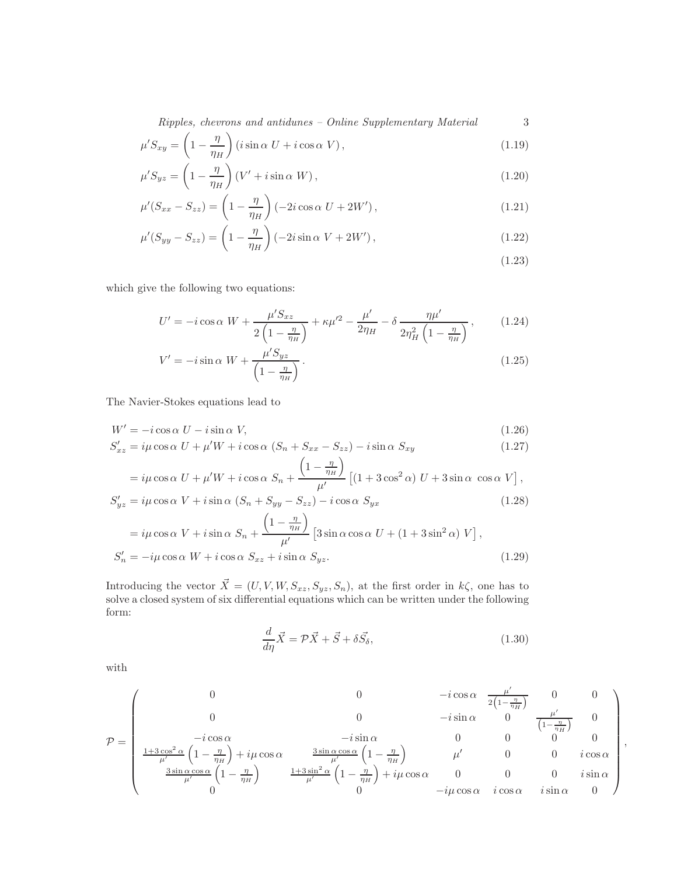$\emph{Ripples, chevrons and antidunes - Online Supplementary Material} \emph{3}$ 

$$
\mu' S_{xy} = \left(1 - \frac{\eta}{\eta_H}\right) \left(i \sin \alpha \ U + i \cos \alpha \ V\right),\tag{1.19}
$$

$$
\mu' S_{yz} = \left(1 - \frac{\eta}{\eta_H}\right) \left(V' + i \sin \alpha \ W\right),\tag{1.20}
$$

$$
\mu'(S_{xx} - S_{zz}) = \left(1 - \frac{\eta}{\eta_H}\right) \left(-2i \cos \alpha \ U + 2W'\right),\tag{1.21}
$$

$$
\mu'(S_{yy} - S_{zz}) = \left(1 - \frac{\eta}{\eta_H}\right) \left(-2i\sin\alpha V + 2W'\right),\tag{1.22}
$$

$$
(1.23)
$$

which give the following two equations:

$$
U' = -i\cos\alpha W + \frac{\mu' S_{xz}}{2\left(1 - \frac{\eta}{\eta_H}\right)} + \kappa\mu'^2 - \frac{\mu'}{2\eta_H} - \delta \frac{\eta\mu'}{2\eta_H^2\left(1 - \frac{\eta}{\eta_H}\right)},\tag{1.24}
$$

$$
V' = -i\sin\alpha W + \frac{\mu'S_{yz}}{\left(1 - \frac{\eta}{\eta_H}\right)}.
$$
\n(1.25)

The Navier-Stokes equations lead to

$$
W' = -i\cos\alpha \ U - i\sin\alpha \ V,\tag{1.26}
$$

$$
S'_{xz} = i\mu \cos \alpha \ U + \mu' W + i \cos \alpha \ (S_n + S_{xx} - S_{zz}) - i \sin \alpha \ S_{xy}
$$
 (1.27)

$$
= i\mu \cos\alpha \ U + \mu'W + i\cos\alpha \ S_n + \frac{\left(1 - \frac{\eta}{\eta_H}\right)}{\mu'} \left[ (1 + 3\cos^2\alpha) \ U + 3\sin\alpha \ \cos\alpha \ V \right],
$$
  

$$
S'_{uz} = i\mu \cos\alpha \ V + i\sin\alpha \ (S_n + S_{yy} - S_{zz}) - i\cos\alpha \ S_{yx}
$$
 (1.28)

$$
S'_{yz} = i\mu \cos \alpha V + i \sin \alpha (S_n + S_{yy} - S_{zz}) - i \cos \alpha S_{yx}
$$
\n
$$
= i\mu \cos \alpha V + i \sin \alpha S_n + \frac{\left(1 - \frac{\eta}{\eta_H}\right)}{\mu'} \left[3 \sin \alpha \cos \alpha U + \left(1 + 3 \sin^2 \alpha\right) V\right],
$$
\n
$$
S'_n = -i\mu \cos \alpha W + i \cos \alpha S_{xz} + i \sin \alpha S_{yz}.
$$
\n
$$
(1.29)
$$

Introducing the vector  $\vec{X} = (U, V, W, S_{xz}, S_{yz}, S_n)$ , at the first order in  $k\zeta$ , one has to solve a closed system of six differential equations which can be written under the following form:

$$
\frac{d}{d\eta}\vec{X} = \mathcal{P}\vec{X} + \vec{S} + \delta\vec{S}_{\delta},\tag{1.30}
$$

with

$$
\mathcal{P} = \begin{pmatrix}\n0 & 0 & -i\cos\alpha & \frac{\mu'}{2\left(1-\frac{\eta}{\eta_H}\right)} & 0 & 0 \\
0 & 0 & -i\sin\alpha & 0 & \frac{\mu'}{\left(1-\frac{\eta}{\eta_H}\right)} & \frac{\mu'}{\left(1-\frac{\eta}{\eta_H}\right)} & 0 \\
-i\cos\alpha & -i\sin\alpha & 0 & 0 & 0 & 0 \\
\frac{1+3\cos^2\alpha}{\mu'}\left(1-\frac{\eta}{\eta_H}\right)+i\mu\cos\alpha & \frac{3\sin\alpha\cos\alpha}{\mu'}\left(1-\frac{\eta}{\eta_H}\right) & \mu' & 0 & 0 & i\cos\alpha \\
\frac{3\sin\alpha\cos\alpha}{\mu'}\left(1-\frac{\eta}{\eta_H}\right) & \frac{1+3\sin^2\alpha}{\mu'}\left(1-\frac{\eta}{\eta_H}\right)+i\mu\cos\alpha & 0 & 0 & 0 & i\sin\alpha \\
0 & 0 & -i\mu\cos\alpha & i\cos\alpha & i\sin\alpha & 0\n\end{pmatrix},
$$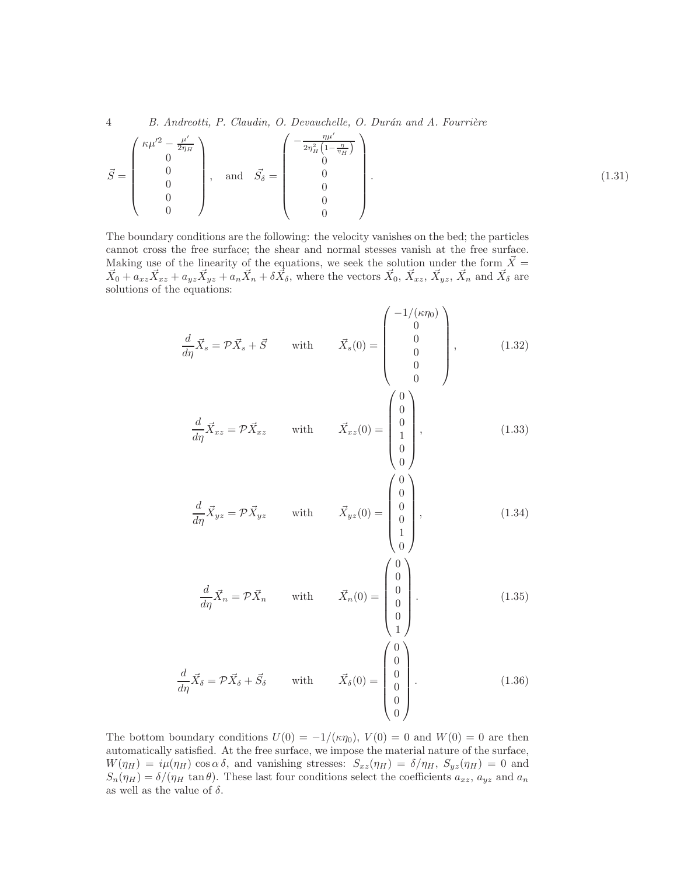4 B. Andreotti, P. Claudin, O. Devauchelle, O. Durán and A. Fourrière

$$
\vec{S} = \begin{pmatrix} \kappa \mu'^2 - \frac{\mu'}{2\eta_H} \\ 0 \\ 0 \\ 0 \\ 0 \\ 0 \end{pmatrix}, \text{ and } \vec{S}_{\delta} = \begin{pmatrix} -\frac{\eta \mu'}{2\eta_H^2 \left(1 - \frac{\eta}{\eta_H}\right)} \\ 0 \\ 0 \\ 0 \\ 0 \\ 0 \end{pmatrix} . \tag{1.31}
$$

The boundary conditions are the following: the velocity vanishes on the bed; the particles cannot cross the free surface; the shear and normal stesses vanish at the free surface. Making use of the linearity of the equations, we seek the solution under the form  $\vec{X} =$  $\vec{X}_0 + a_{xz}\vec{X}_{xz} + a_{yz}\vec{X}_{yz} + a_n\vec{X}_n + \delta\vec{X}_{\delta}$ , where the vectors  $\vec{X}_0$ ,  $\vec{X}_{xz}$ ,  $\vec{X}_{yz}$ ,  $\vec{X}_n$  and  $\vec{X}_{\delta}$  are solutions of the equations:

$$
\frac{d}{d\eta}\vec{X}_s = \mathcal{P}\vec{X}_s + \vec{S} \quad \text{with} \quad \vec{X}_s(0) = \begin{pmatrix} -1/(\kappa \eta_0) \\ 0 \\ 0 \\ 0 \\ 0 \\ 0 \end{pmatrix}, \quad (1.32)
$$

$$
\frac{d}{d\eta}\vec{X}_{xz} = \mathcal{P}\vec{X}_{xz} \qquad \text{with} \qquad \vec{X}_{xz}(0) = \begin{bmatrix} 0 \\ 0 \\ 1 \\ 0 \\ 0 \end{bmatrix}, \tag{1.33}
$$

 $\theta$ 

 $\left(0\right)$ 

 $\theta$ 

 $\left(0\right)$ 

$$
\frac{d}{d\eta}\vec{X}_{yz} = \mathcal{P}\vec{X}_{yz} \qquad \text{with} \qquad \vec{X}_{yz}(0) = \begin{bmatrix} 0 \\ 0 \\ 0 \\ 1 \\ 0 \end{bmatrix}, \tag{1.34}
$$

$$
\frac{d}{d\eta}\vec{X}_n = \mathcal{P}\vec{X}_n \qquad \text{with} \qquad \vec{X}_n(0) = \begin{bmatrix} 0 \\ 0 \\ 0 \\ 0 \\ 1 \end{bmatrix} . \tag{1.35}
$$

$$
\frac{d}{d\eta}\vec{X}_{\delta} = \mathcal{P}\vec{X}_{\delta} + \vec{S}_{\delta} \qquad \text{with} \qquad \vec{X}_{\delta}(0) = \begin{pmatrix} 0\\0\\0\\0\\0\\0\\0 \end{pmatrix}.
$$
 (1.36)

The bottom boundary conditions  $U(0) = -1/(\kappa \eta_0)$ ,  $V(0) = 0$  and  $W(0) = 0$  are then automatically satisfied. At the free surface, we impose the material nature of the surface,  $W(\eta_H) = i\mu(\eta_H) \cos \alpha \delta$ , and vanishing stresses:  $S_{xz}(\eta_H) = \delta/\eta_H$ ,  $S_{yz}(\eta_H) = 0$  and  $S_n(\eta_H) = \delta/(\eta_H \tan \theta)$ . These last four conditions select the coefficients  $a_{xz}$ ,  $a_{yz}$  and  $a_n$ as well as the value of  $\delta$ .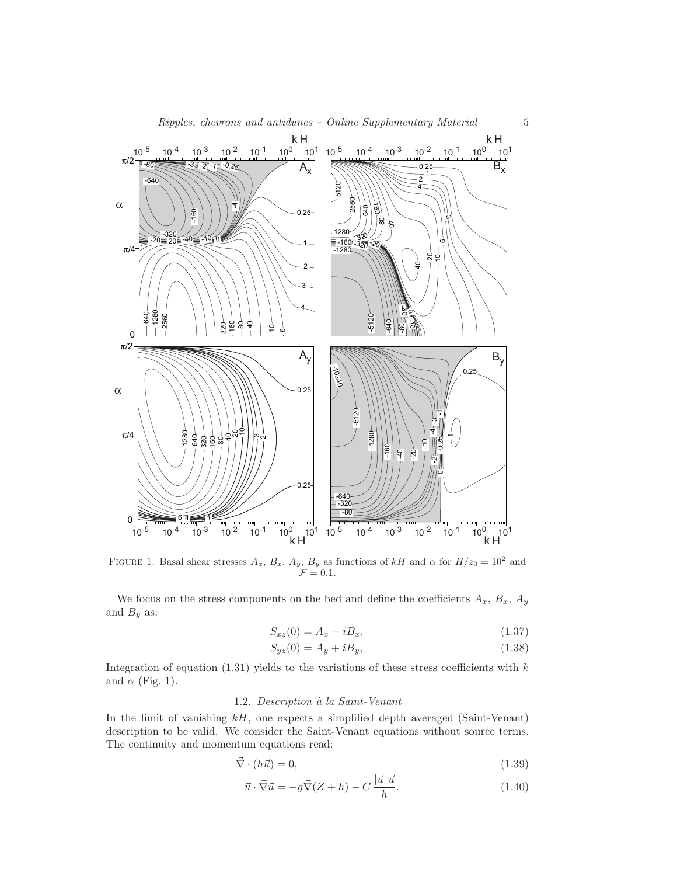

FIGURE 1. Basal shear stresses  $A_x$ ,  $B_x$ ,  $A_y$ ,  $B_y$  as functions of kH and  $\alpha$  for  $H/z_0 = 10^2$  and  $\mathcal{F}=0.1.$ 

We focus on the stress components on the bed and define the coefficients  $A_x$ ,  $B_x$ ,  $A_y$ and  $B_y$  as:

$$
S_{xz}(0) = A_x + iB_x,\tag{1.37}
$$

$$
S_{yz}(0) = A_y + iB_y,\t\t(1.38)
$$

Integration of equation  $(1.31)$  yields to the variations of these stress coefficients with k and  $\alpha$  (Fig. 1).

## 1.2. Description à la Saint-Venant

In the limit of vanishing  $k$ , one expects a simplified depth averaged (Saint-Venant) description to be valid. We consider the Saint-Venant equations without source terms. The continuity and momentum equations read:

$$
\vec{\nabla} \cdot (h\vec{u}) = 0,\tag{1.39}
$$

$$
\vec{u} \cdot \vec{\nabla} \vec{u} = -g\vec{\nabla}(Z+h) - C\frac{|\vec{u}|\,\vec{u}}{h}.\tag{1.40}
$$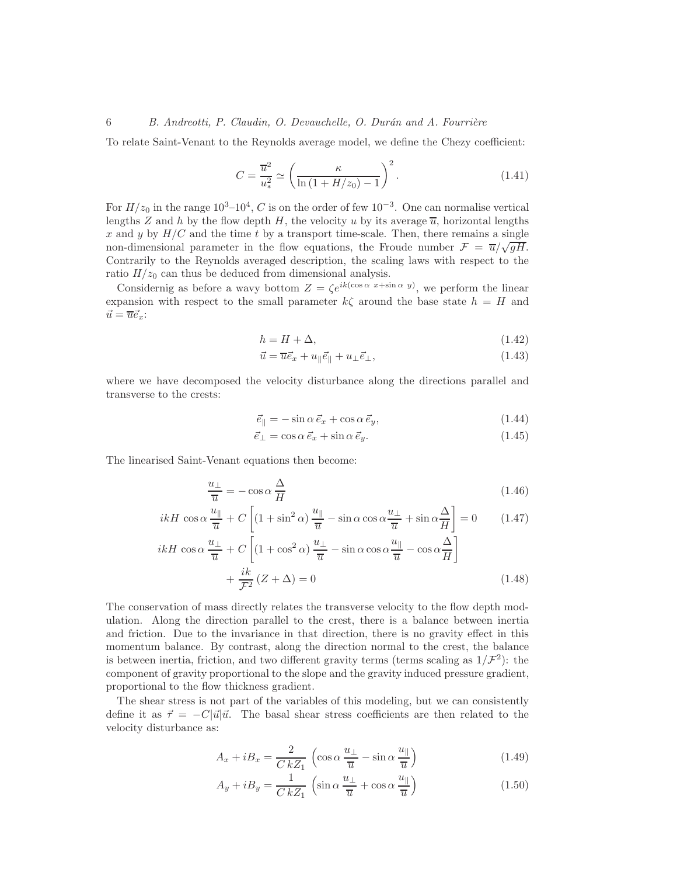To relate Saint-Venant to the Reynolds average model, we define the Chezy coefficient:

$$
C = \frac{\overline{u}^2}{u_*^2} \simeq \left(\frac{\kappa}{\ln\left(1 + H/z_0\right) - 1}\right)^2.
$$
\n(1.41)

For  $H/z_0$  in the range  $10^3-10^4$ , C is on the order of few  $10^{-3}$ . One can normalise vertical lengths Z and h by the flow depth H, the velocity u by its average  $\overline{u}$ , horizontal lengths x and y by  $H/C$  and the time t by a transport time-scale. Then, there remains a single non-dimensional parameter in the flow equations, the Froude number  $\mathcal{F} = \overline{u}/\sqrt{gH}$ . Contrarily to the Reynolds averaged description, the scaling laws with respect to the ratio  $H/z_0$  can thus be deduced from dimensional analysis.

Considernig as before a wavy bottom  $Z = \zeta e^{ik(\cos \alpha x + \sin \alpha y)}$ , we perform the linear expansion with respect to the small parameter  $k\zeta$  around the base state  $h = H$  and  $\vec{u} = \overline{u} \vec{e}_x$ :

$$
h = H + \Delta,\tag{1.42}
$$

$$
\vec{u} = \overline{u}\vec{e}_x + u_{\parallel}\vec{e}_{\parallel} + u_{\perp}\vec{e}_{\perp},\tag{1.43}
$$

where we have decomposed the velocity disturbance along the directions parallel and transverse to the crests:

$$
\vec{e}_{\parallel} = -\sin\alpha \,\vec{e}_x + \cos\alpha \,\vec{e}_y,\tag{1.44}
$$

$$
\vec{e}_{\perp} = \cos \alpha \, \vec{e}_x + \sin \alpha \, \vec{e}_y. \tag{1.45}
$$

The linearised Saint-Venant equations then become:

$$
\frac{u_{\perp}}{\overline{u}} = -\cos\alpha \frac{\Delta}{H}
$$
\n(1.46)

$$
ikH\cos\alpha\frac{u_{\parallel}}{\overline{u}} + C\left[ (1+\sin^2\alpha)\frac{u_{\parallel}}{\overline{u}} - \sin\alpha\cos\alpha\frac{u_{\perp}}{\overline{u}} + \sin\alpha\frac{\Delta}{H} \right] = 0 \qquad (1.47)
$$
  

$$
ikH\cos\alpha\frac{u_{\perp}}{\overline{u}} + C\left[ (1+\cos^2\alpha)\frac{u_{\perp}}{\overline{u}} - \sin\alpha\cos\alpha\frac{u_{\parallel}}{\overline{u}} - \cos\alpha\frac{\Delta}{H} \right]
$$

$$
i\alpha \frac{u_{\perp}}{\overline{u}} + C \left[ (1 + \cos^2 \alpha) \frac{u_{\perp}}{\overline{u}} - \sin \alpha \cos \alpha \frac{u_{\parallel}}{\overline{u}} - \cos \alpha \frac{\Delta}{H} \right]
$$
  
+ 
$$
\frac{ik}{\mathcal{F}^2} (Z + \Delta) = 0
$$
 (1.48)

The conservation of mass directly relates the transverse velocity to the flow depth modulation. Along the direction parallel to the crest, there is a balance between inertia and friction. Due to the invariance in that direction, there is no gravity effect in this momentum balance. By contrast, along the direction normal to the crest, the balance is between inertia, friction, and two different gravity terms (terms scaling as  $1/\mathcal{F}^2$ ): the component of gravity proportional to the slope and the gravity induced pressure gradient, proportional to the flow thickness gradient.

The shear stress is not part of the variables of this modeling, but we can consistently define it as  $\vec{\tau} = -C|\vec{u}|\vec{u}$ . The basal shear stress coefficients are then related to the velocity disturbance as:

$$
A_x + iB_x = \frac{2}{C\,kZ_1} \left( \cos \alpha \, \frac{u_\perp}{\overline{u}} - \sin \alpha \, \frac{u_\parallel}{\overline{u}} \right) \tag{1.49}
$$

$$
A_y + iB_y = \frac{1}{C \, kZ_1} \left( \sin \alpha \, \frac{u_\perp}{\overline{u}} + \cos \alpha \, \frac{u_\parallel}{\overline{u}} \right) \tag{1.50}
$$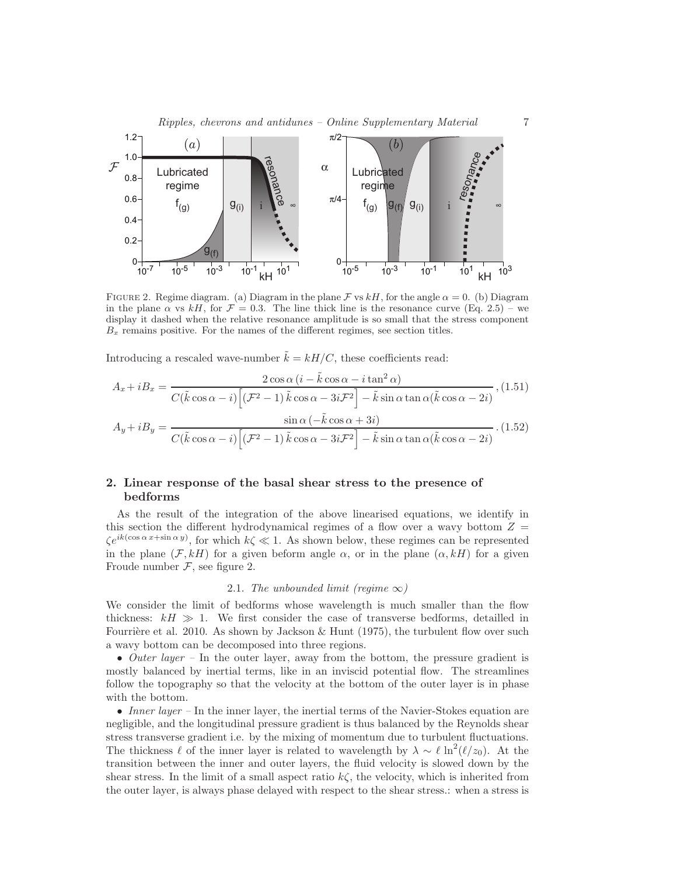



FIGURE 2. Regime diagram. (a) Diagram in the plane F vs  $kH$ , for the angle  $\alpha = 0$ . (b) Diagram in the plane  $\alpha$  vs kH, for  $\mathcal{F} = 0.3$ . The line thick line is the resonance curve (Eq. 2.5) – we display it dashed when the relative resonance amplitude is so small that the stress component  $B<sub>x</sub>$  remains positive. For the names of the different regimes, see section titles.

Introducing a rescaled wave-number  $\tilde{k} = kH/C$ , these coefficients read:

$$
A_x + iB_x = \frac{2\cos\alpha (i - \tilde{k}\cos\alpha - i\tan^2\alpha)}{C(\tilde{k}\cos\alpha - i)\left[ (\mathcal{F}^2 - 1)\tilde{k}\cos\alpha - 3i\mathcal{F}^2 \right] - \tilde{k}\sin\alpha \tan\alpha (\tilde{k}\cos\alpha - 2i)}, (1.51)
$$

$$
A_y + iB_y = \frac{\sin\alpha (-\tilde{k}\cos\alpha + 3i)}{C(\tilde{k}\cos\alpha - i)\left[ (\mathcal{F}^2 - 1)\tilde{k}\cos\alpha - 3i\mathcal{F}^2 \right] - \tilde{k}\sin\alpha \tan\alpha (\tilde{k}\cos\alpha - 2i)}.
$$
(1.52)

## 2. Linear response of the basal shear stress to the presence of bedforms

As the result of the integration of the above linearised equations, we identify in this section the different hydrodynamical regimes of a flow over a wavy bottom  $Z =$  $\zeta e^{ik(\cos\alpha x+\sin\alpha y)}$ , for which  $k\zeta \ll 1$ . As shown below, these regimes can be represented in the plane  $(\mathcal{F}, kH)$  for a given beform angle  $\alpha$ , or in the plane  $(\alpha, kH)$  for a given Froude number  $\mathcal F$ , see figure 2.

#### 2.1. The unbounded limit (reqime  $\infty$ )

We consider the limit of bedforms whose wavelength is much smaller than the flow thickness:  $kH \gg 1$ . We first consider the case of transverse bedforms, detailled in Fourrière et al. 2010. As shown by Jackson & Hunt (1975), the turbulent flow over such a wavy bottom can be decomposed into three regions.

• Outer layer – In the outer layer, away from the bottom, the pressure gradient is mostly balanced by inertial terms, like in an inviscid potential flow. The streamlines follow the topography so that the velocity at the bottom of the outer layer is in phase with the bottom.

• Inner layer – In the inner layer, the inertial terms of the Navier-Stokes equation are negligible, and the longitudinal pressure gradient is thus balanced by the Reynolds shear stress transverse gradient i.e. by the mixing of momentum due to turbulent fluctuations. The thickness  $\ell$  of the inner layer is related to wavelength by  $\lambda \sim \ell \ln^2(\ell/z_0)$ . At the transition between the inner and outer layers, the fluid velocity is slowed down by the shear stress. In the limit of a small aspect ratio  $k\zeta$ , the velocity, which is inherited from the outer layer, is always phase delayed with respect to the shear stress.: when a stress is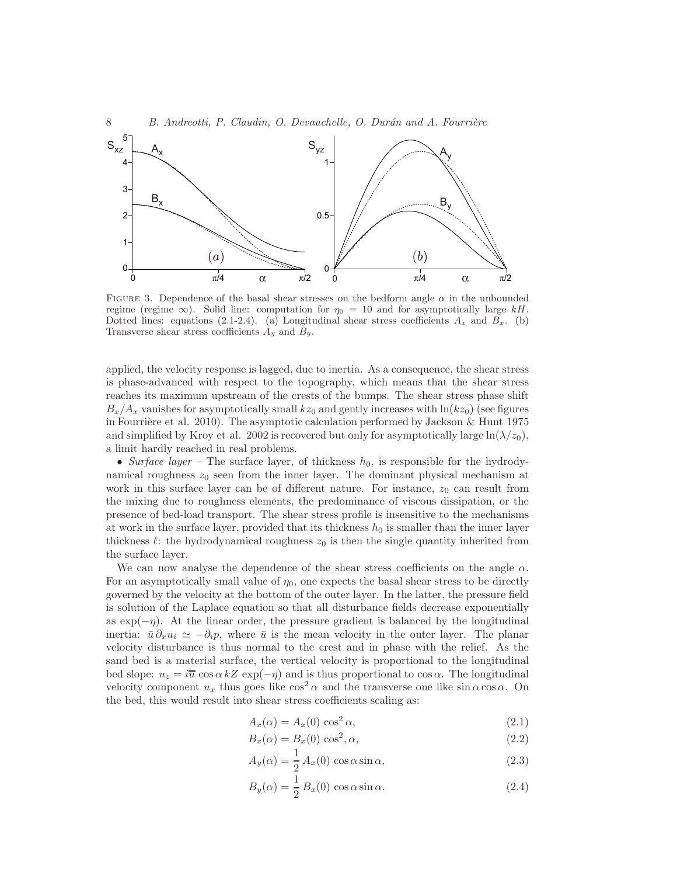

FIGURE 3. Dependence of the basal shear stresses on the bedform angle  $\alpha$  in the unbounded regime (regime  $\infty$ ). Solid line: computation for  $\eta_0 = 10$  and for asymptotically large kH. Dotted lines: equations (2.1-2.4). (a) Longitudinal shear stress coefficients  $A_x$  and  $B_x$ . (b) Transverse shear stress coefficients  $A_y$  and  $B_y$ .

applied, the velocity response is lagged, due to inertia. As a consequence, the shear stress is phase-advanced with respect to the topography, which means that the shear stress reaches its maximum upstream of the crests of the bumps. The shear stress phase shift  $B_x/A_x$  vanishes for asymptotically small  $kz_0$  and gently increases with  $\ln(kz_0)$  (see figures in Fourrière et al. 2010). The asymptotic calculation performed by Jackson  $&$  Hunt 1975 and simplified by Kroy et al. 2002 is recovered but only for asymptotically large  $\ln(\lambda/z_0)$ , a limit hardly reached in real problems.

• Surface layer – The surface layer, of thickness  $h_0$ , is responsible for the hydrodynamical roughness  $z_0$  seen from the inner layer. The dominant physical mechanism at work in this surface layer can be of different nature. For instance,  $z_0$  can result from the mixing due to roughness elements, the predominance of viscous dissipation, or the presence of bed-load transport. The shear stress profile is insensitive to the mechanisms at work in the surface layer, provided that its thickness  $h_0$  is smaller than the inner layer thickness  $\ell$ : the hydrodynamical roughness  $z_0$  is then the single quantity inherited from the surface layer.

We can now analyse the dependence of the shear stress coefficients on the angle  $\alpha$ . For an asymptotically small value of  $\eta_0$ , one expects the basal shear stress to be directly governed by the velocity at the bottom of the outer layer. In the latter, the pressure field is solution of the Laplace equation so that all disturbance fields decrease exponentially as  $\exp(-\eta)$ . At the linear order, the pressure gradient is balanced by the longitudinal inertia:  $\bar{u} \, \partial_x u_i \simeq -\partial_i p$ , where  $\bar{u}$  is the mean velocity in the outer layer. The planar velocity disturbance is thus normal to the crest and in phase with the relief. As the sand bed is a material surface, the vertical velocity is proportional to the longitudinal bed slope:  $u_z = i\overline{u} \cos \alpha kZ \exp(-\eta)$  and is thus proportional to  $\cos \alpha$ . The longitudinal velocity component  $u_x$  thus goes like  $\cos^2 \alpha$  and the transverse one like  $\sin \alpha \cos \alpha$ . On the bed, this would result into shear stress coefficients scaling as:

$$
A_x(\alpha) = A_x(0) \cos^2 \alpha,\tag{2.1}
$$

$$
B_x(\alpha) = B_x(0) \cos^2 \alpha,
$$
\n(2.2)

$$
A_y(\alpha) = \frac{1}{2} A_x(0) \cos \alpha \sin \alpha, \qquad (2.3)
$$

$$
B_y(\alpha) = \frac{1}{2} B_x(0) \cos \alpha \sin \alpha.
$$
 (2.4)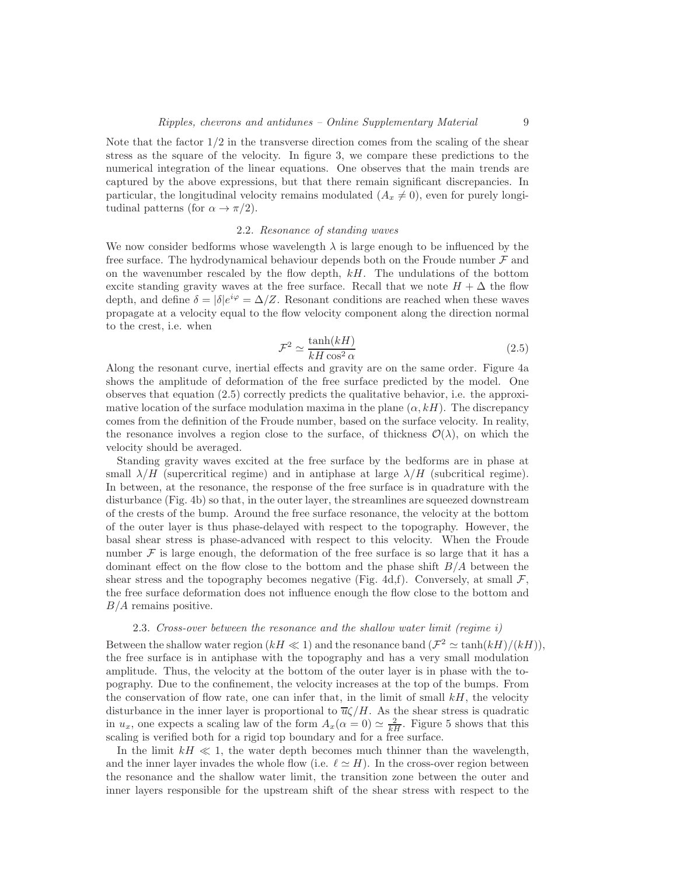Note that the factor  $1/2$  in the transverse direction comes from the scaling of the shear stress as the square of the velocity. In figure 3, we compare these predictions to the numerical integration of the linear equations. One observes that the main trends are captured by the above expressions, but that there remain significant discrepancies. In particular, the longitudinal velocity remains modulated  $(A_x \neq 0)$ , even for purely longitudinal patterns (for  $\alpha \to \pi/2$ ).

#### 2.2. Resonance of standing waves

We now consider bedforms whose wavelength  $\lambda$  is large enough to be influenced by the free surface. The hydrodynamical behaviour depends both on the Froude number  $\mathcal F$  and on the wavenumber rescaled by the flow depth,  $kH$ . The undulations of the bottom excite standing gravity waves at the free surface. Recall that we note  $H + \Delta$  the flow depth, and define  $\delta = |\delta|e^{i\varphi} = \Delta/Z$ . Resonant conditions are reached when these waves propagate at a velocity equal to the flow velocity component along the direction normal to the crest, i.e. when

$$
\mathcal{F}^2 \simeq \frac{\tanh(kH)}{kH\cos^2\alpha} \tag{2.5}
$$

Along the resonant curve, inertial effects and gravity are on the same order. Figure 4a shows the amplitude of deformation of the free surface predicted by the model. One observes that equation (2.5) correctly predicts the qualitative behavior, i.e. the approximative location of the surface modulation maxima in the plane  $(\alpha, k)$ . The discrepancy comes from the definition of the Froude number, based on the surface velocity. In reality, the resonance involves a region close to the surface, of thickness  $\mathcal{O}(\lambda)$ , on which the velocity should be averaged.

Standing gravity waves excited at the free surface by the bedforms are in phase at small  $\lambda/H$  (supercritical regime) and in antiphase at large  $\lambda/H$  (subcritical regime). In between, at the resonance, the response of the free surface is in quadrature with the disturbance (Fig. 4b) so that, in the outer layer, the streamlines are squeezed downstream of the crests of the bump. Around the free surface resonance, the velocity at the bottom of the outer layer is thus phase-delayed with respect to the topography. However, the basal shear stress is phase-advanced with respect to this velocity. When the Froude number  $\mathcal F$  is large enough, the deformation of the free surface is so large that it has a dominant effect on the flow close to the bottom and the phase shift  $B/A$  between the shear stress and the topography becomes negative (Fig. 4d,f). Conversely, at small  $\mathcal{F}$ , the free surface deformation does not influence enough the flow close to the bottom and  $B/A$  remains positive.

#### 2.3. Cross-over between the resonance and the shallow water limit (regime i)

Between the shallow water region  $(kH \ll 1)$  and the resonance band  $(\mathcal{F}^2 \simeq \tanh(kH)/(kH)),$ the free surface is in antiphase with the topography and has a very small modulation amplitude. Thus, the velocity at the bottom of the outer layer is in phase with the topography. Due to the confinement, the velocity increases at the top of the bumps. From the conservation of flow rate, one can infer that, in the limit of small  $kH$ , the velocity disturbance in the inner layer is proportional to  $\overline{u}\zeta/H$ . As the shear stress is quadratic in  $u_x$ , one expects a scaling law of the form  $A_x(\alpha = 0) \simeq \frac{2}{kH}$ . Figure 5 shows that this scaling is verified both for a rigid top boundary and for a free surface.

In the limit  $kH \ll 1$ , the water depth becomes much thinner than the wavelength, and the inner layer invades the whole flow (i.e.  $\ell \simeq H$ ). In the cross-over region between the resonance and the shallow water limit, the transition zone between the outer and inner layers responsible for the upstream shift of the shear stress with respect to the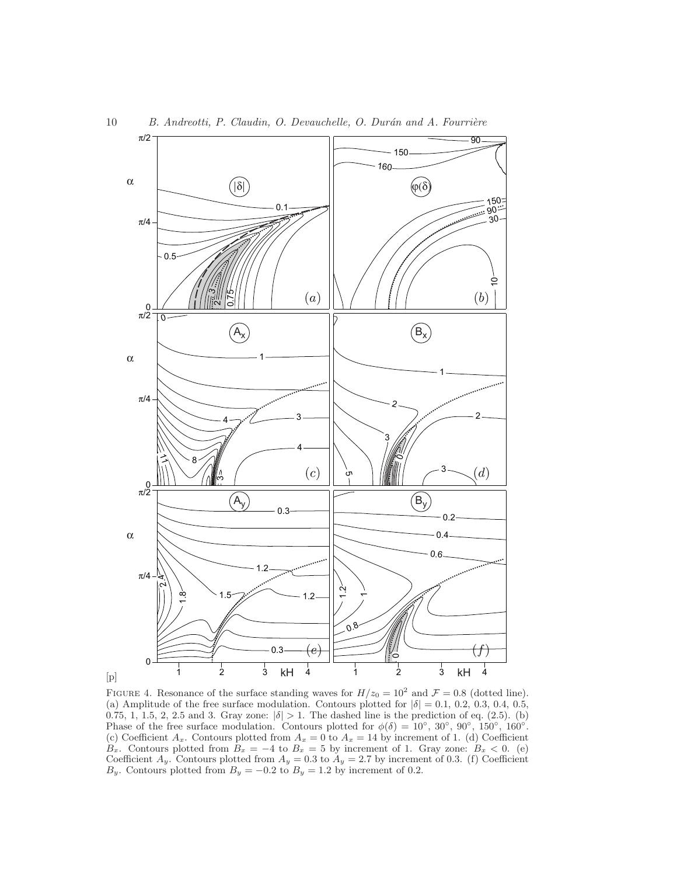

FIGURE 4. Resonance of the surface standing waves for  $H/z_0 = 10^2$  and  $\mathcal{F} = 0.8$  (dotted line). (a) Amplitude of the free surface modulation. Contours plotted for  $|\delta| = 0.1, 0.2, 0.3, 0.4, 0.5$ , 0.75, 1, 1.5, 2, 2.5 and 3. Gray zone:  $|\delta| > 1$ . The dashed line is the prediction of eq. (2.5). (b) Phase of the free surface modulation. Contours plotted for  $\phi(\delta) = 10^{\circ}$ ,  $30^{\circ}$ ,  $90^{\circ}$ ,  $150^{\circ}$ ,  $160^{\circ}$ . (c) Coefficient  $A_x$ . Contours plotted from  $A_x = 0$  to  $A_x = 14$  by increment of 1. (d) Coefficient  $B_x$ . Contours plotted from  $B_x = -4$  to  $B_x = 5$  by increment of 1. Gray zone:  $B_x < 0$ . (e) Coefficient  $A_y$ . Contours plotted from  $A_y = 0.3$  to  $A_y = 2.7$  by increment of 0.3. (f) Coefficient  $B_y$ . Contours plotted from  $B_y = -0.2$  to  $B_y = 1.2$  by increment of 0.2.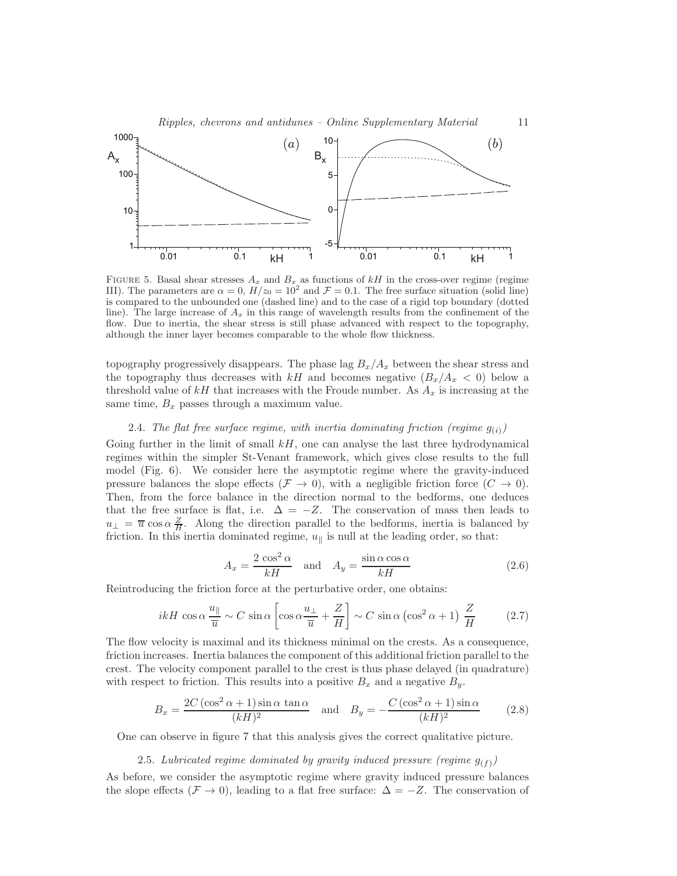#### Ripples, chevrons and antidunes – Online Supplementary Material 11



FIGURE 5. Basal shear stresses  $A_x$  and  $B_x$  as functions of kH in the cross-over regime (regime III). The parameters are  $\alpha = 0$ ,  $H/z_0 = 10^2$  and  $\mathcal{F} = 0.1$ . The free surface situation (solid line) is compared to the unbounded one (dashed line) and to the case of a rigid top boundary (dotted line). The large increase of  $A_x$  in this range of wavelength results from the confinement of the flow. Due to inertia, the shear stress is still phase advanced with respect to the topography, although the inner layer becomes comparable to the whole flow thickness.

topography progressively disappears. The phase lag  $B_x/A_x$  between the shear stress and the topography thus decreases with kH and becomes negative  $(B_x/A_x < 0)$  below a threshold value of kH that increases with the Froude number. As  $A_x$  is increasing at the same time,  $B_x$  passes through a maximum value.

### 2.4. The flat free surface regime, with inertia dominating friction (regime  $g_{(i)}$ )

Going further in the limit of small  $kH$ , one can analyse the last three hydrodynamical regimes within the simpler St-Venant framework, which gives close results to the full model (Fig. 6). We consider here the asymptotic regime where the gravity-induced pressure balances the slope effects ( $\mathcal{F} \to 0$ ), with a negligible friction force  $(C \to 0)$ . Then, from the force balance in the direction normal to the bedforms, one deduces that the free surface is flat, i.e.  $\Delta = -Z$ . The conservation of mass then leads to  $u_{\perp} = \overline{u} \cos \alpha \frac{Z}{H}$ . Along the direction parallel to the bedforms, inertia is balanced by friction. In this inertia dominated regime,  $u_{\parallel}$  is null at the leading order, so that:

$$
A_x = \frac{2\cos^2\alpha}{kH} \quad \text{and} \quad A_y = \frac{\sin\alpha\cos\alpha}{kH} \tag{2.6}
$$

Reintroducing the friction force at the perturbative order, one obtains:

$$
ikH\cos\alpha\frac{u_{\parallel}}{\overline{u}} \sim C\sin\alpha\left[\cos\alpha\frac{u_{\perp}}{\overline{u}} + \frac{Z}{H}\right] \sim C\sin\alpha\left(\cos^2\alpha + 1\right)\frac{Z}{H}
$$
 (2.7)

The flow velocity is maximal and its thickness minimal on the crests. As a consequence, friction increases. Inertia balances the component of this additional friction parallel to the crest. The velocity component parallel to the crest is thus phase delayed (in quadrature) with respect to friction. This results into a positive  $B_x$  and a negative  $B_y$ .

$$
B_x = \frac{2C(\cos^2 \alpha + 1)\sin \alpha \tan \alpha}{(kH)^2} \quad \text{and} \quad B_y = -\frac{C(\cos^2 \alpha + 1)\sin \alpha}{(kH)^2} \tag{2.8}
$$

One can observe in figure 7 that this analysis gives the correct qualitative picture.

### 2.5. Lubricated regime dominated by gravity induced pressure (regime  $g_{(f)}$ )

As before, we consider the asymptotic regime where gravity induced pressure balances the slope effects ( $\mathcal{F} \to 0$ ), leading to a flat free surface:  $\Delta = -Z$ . The conservation of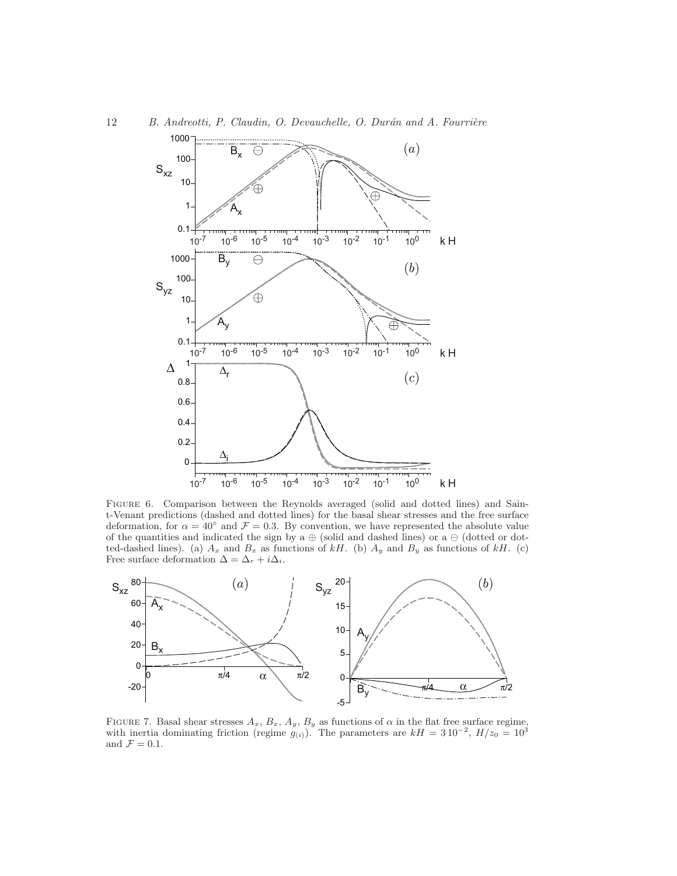

Figure 6. Comparison between the Reynolds averaged (solid and dotted lines) and Saint-Venant predictions (dashed and dotted lines) for the basal shear stresses and the free surface deformation, for  $\alpha = 40^{\circ}$  and  $\mathcal{F} = 0.3$ . By convention, we have represented the absolute value of the quantities and indicated the sign by a  $\oplus$  (solid and dashed lines) or a  $\ominus$  (dotted or dotted-dashed lines). (a)  $A_x$  and  $B_x$  as functions of kH. (b)  $A_y$  and  $B_y$  as functions of kH. (c) Free surface deformation  $\Delta = \Delta_r + i\Delta_i$ .



FIGURE 7. Basal shear stresses  $A_x$ ,  $B_x$ ,  $A_y$ ,  $B_y$  as functions of  $\alpha$  in the flat free surface regime, with inertia dominating friction (regime  $g_{(i)}$ ). The parameters are  $kH = 310^{-2}$ ,  $H/z_0 = 10^3$ and  $\mathcal{F} = 0.1$ .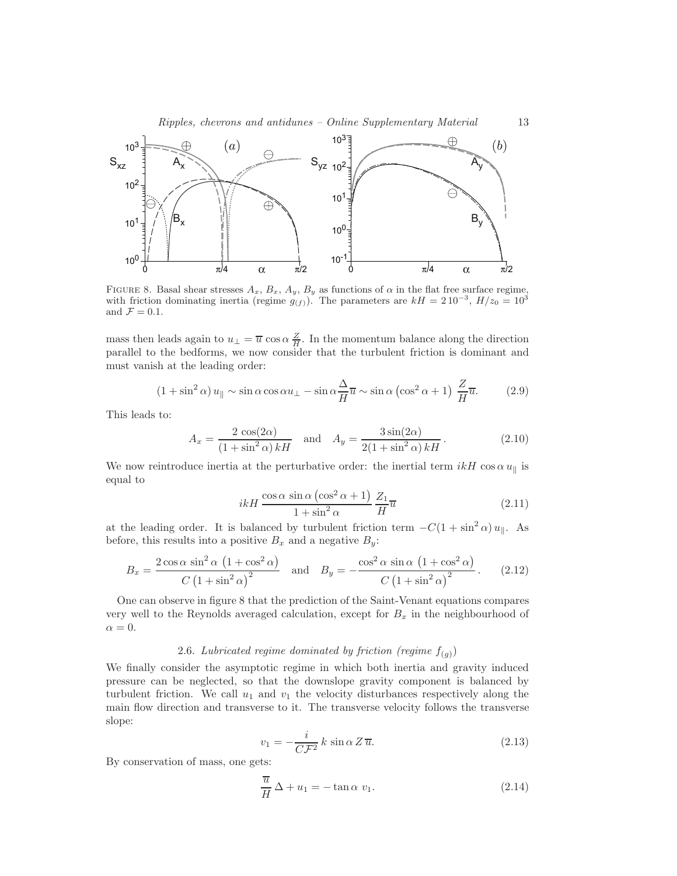

FIGURE 8. Basal shear stresses  $A_x$ ,  $B_x$ ,  $A_y$ ,  $B_y$  as functions of  $\alpha$  in the flat free surface regime, with friction dominating inertia (regime  $g_{(f)}$ ). The parameters are  $kH = 210^{-3}$ ,  $H/z_0 = 10^3$ and  $\mathcal{F} = 0.1$ .

mass then leads again to  $u_{\perp} = \overline{u} \cos \alpha \frac{Z}{H}$ . In the momentum balance along the direction parallel to the bedforms, we now consider that the turbulent friction is dominant and must vanish at the leading order:

$$
(1 + \sin^2 \alpha) u_{\parallel} \sim \sin \alpha \cos \alpha u_{\perp} - \sin \alpha \frac{\Delta}{H} \overline{u} \sim \sin \alpha \left(\cos^2 \alpha + 1\right) \frac{Z}{H} \overline{u}.\tag{2.9}
$$

This leads to:

$$
A_x = \frac{2\cos(2\alpha)}{(1+\sin^2\alpha)kH} \quad \text{and} \quad A_y = \frac{3\sin(2\alpha)}{2(1+\sin^2\alpha)kH}.
$$
 (2.10)

We now reintroduce inertia at the perturbative order: the inertial term  $ikH \cos \alpha u_{\parallel}$  is equal to

$$
ikH \frac{\cos \alpha \sin \alpha \left(\cos^2 \alpha + 1\right)}{1 + \sin^2 \alpha} \frac{Z_1}{H} \overline{u}
$$
\n(2.11)

at the leading order. It is balanced by turbulent friction term  $-C(1 + \sin^2 \alpha) u_{\parallel}$ . As before, this results into a positive  $B_x$  and a negative  $B_y$ :

$$
B_x = \frac{2\cos\alpha\sin^2\alpha\left(1+\cos^2\alpha\right)}{C\left(1+\sin^2\alpha\right)^2} \quad \text{and} \quad B_y = -\frac{\cos^2\alpha\sin\alpha\left(1+\cos^2\alpha\right)}{C\left(1+\sin^2\alpha\right)^2}.
$$
 (2.12)

One can observe in figure 8 that the prediction of the Saint-Venant equations compares very well to the Reynolds averaged calculation, except for  $B_x$  in the neighbourhood of  $\alpha = 0.$ 

## 2.6. Lubricated regime dominated by friction (regime  $f_{(g)}$ )

We finally consider the asymptotic regime in which both inertia and gravity induced pressure can be neglected, so that the downslope gravity component is balanced by turbulent friction. We call  $u_1$  and  $v_1$  the velocity disturbances respectively along the main flow direction and transverse to it. The transverse velocity follows the transverse slope:

$$
v_1 = -\frac{i}{C\mathcal{F}^2} k \sin \alpha \, Z \, \overline{u}.\tag{2.13}
$$

By conservation of mass, one gets:

$$
\frac{\overline{u}}{H} \Delta + u_1 = -\tan \alpha \ v_1.
$$
 (2.14)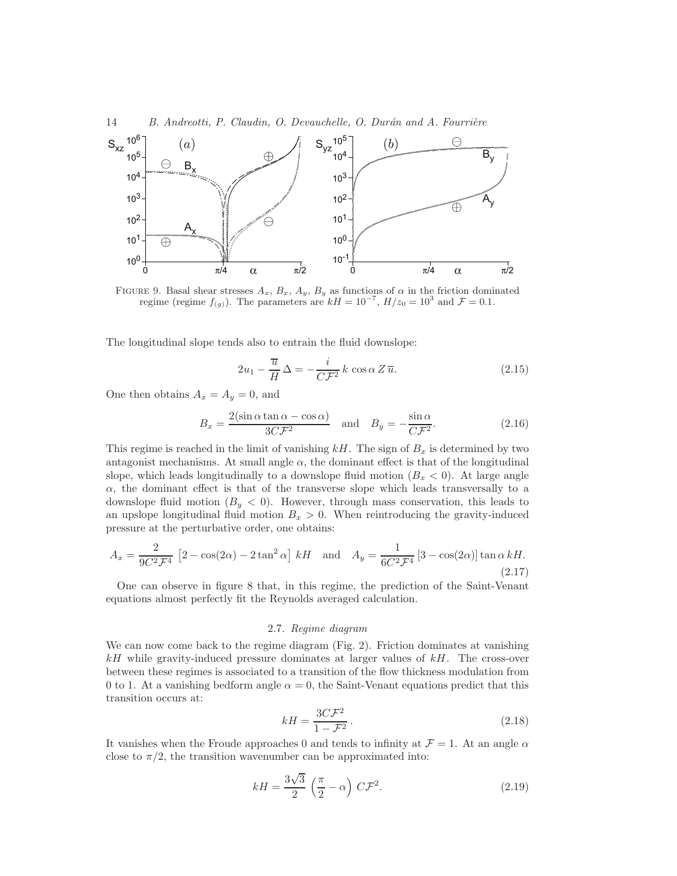



FIGURE 9. Basal shear stresses  $A_x$ ,  $B_x$ ,  $A_y$ ,  $B_y$  as functions of  $\alpha$  in the friction dominated regime (regime  $f(g)$ ). The parameters are  $kH = 10^{-7}$ ,  $H/z_0 = 10^3$  and  $\mathcal{F} = 0.1$ .

The longitudinal slope tends also to entrain the fluid downslope:

$$
2u_1 - \frac{\overline{u}}{H} \Delta = -\frac{i}{C\mathcal{F}^2} k \cos \alpha Z \overline{u}.
$$
 (2.15)

One then obtains  $A_x = A_y = 0$ , and

$$
B_x = \frac{2(\sin \alpha \tan \alpha - \cos \alpha)}{3C\mathcal{F}^2} \quad \text{and} \quad B_y = -\frac{\sin \alpha}{C\mathcal{F}^2}.
$$
 (2.16)

This regime is reached in the limit of vanishing  $kH$ . The sign of  $B_x$  is determined by two antagonist mechanisms. At small angle  $\alpha$ , the dominant effect is that of the longitudinal slope, which leads longitudinally to a downslope fluid motion  $(B_x < 0)$ . At large angle  $\alpha$ , the dominant effect is that of the transverse slope which leads transversally to a downslope fluid motion  $(B_y < 0)$ . However, through mass conservation, this leads to an upslope longitudinal fluid motion  $B_x > 0$ . When reintroducing the gravity-induced pressure at the perturbative order, one obtains:

$$
A_x = \frac{2}{9C^2 \mathcal{F}^4} \left[2 - \cos(2\alpha) - 2\tan^2\alpha\right] kH \quad \text{and} \quad A_y = \frac{1}{6C^2 \mathcal{F}^4} \left[3 - \cos(2\alpha)\right] \tan\alpha kH. \tag{2.17}
$$

One can observe in figure 8 that, in this regime, the prediction of the Saint-Venant equations almost perfectly fit the Reynolds averaged calculation.

#### 2.7. Regime diagram

We can now come back to the regime diagram (Fig. 2). Friction dominates at vanishing  $kH$  while gravity-induced pressure dominates at larger values of  $kH$ . The cross-over between these regimes is associated to a transition of the flow thickness modulation from 0 to 1. At a vanishing bedform angle  $\alpha = 0$ , the Saint-Venant equations predict that this transition occurs at:

$$
kH = \frac{3C\mathcal{F}^2}{1 - \mathcal{F}^2}.
$$
\n
$$
(2.18)
$$

It vanishes when the Froude approaches 0 and tends to infinity at  $\mathcal{F} = 1$ . At an angle  $\alpha$ close to  $\pi/2$ , the transition wavenumber can be approximated into:

$$
kH = \frac{3\sqrt{3}}{2} \left(\frac{\pi}{2} - \alpha\right) C\mathcal{F}^2.
$$
 (2.19)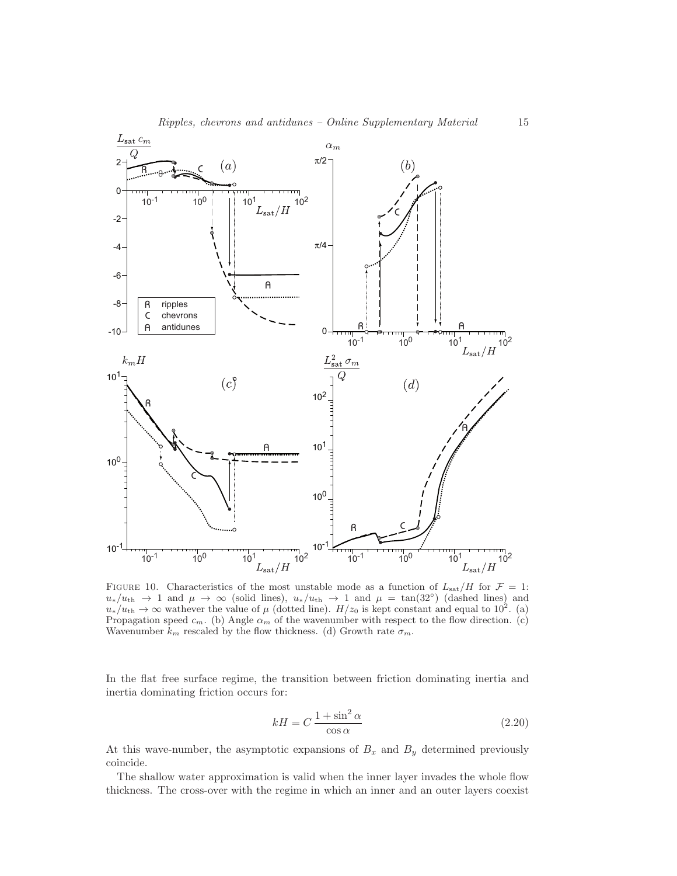

FIGURE 10. Characteristics of the most unstable mode as a function of  $L_{\text{sat}}/H$  for  $\mathcal{F} = 1$ :  $u_*/u_{\rm th} \to 1$  and  $\mu \to \infty$  (solid lines),  $u_*/u_{\rm th} \to 1$  and  $\mu = \tan(32^\circ)$  (dashed lines) and  $u_*/u_{\rm th} \to \infty$  wathever the value of  $\mu$  (dotted line).  $H/z_0$  is kept constant and equal to 10<sup>2</sup>. (a) Propagation speed  $c_m$ . (b) Angle  $\alpha_m$  of the wavenumber with respect to the flow direction. (c) Wavenumber  $k_m$  rescaled by the flow thickness. (d) Growth rate  $\sigma_m$ .

In the flat free surface regime, the transition between friction dominating inertia and inertia dominating friction occurs for:

$$
kH = C \frac{1 + \sin^2 \alpha}{\cos \alpha} \tag{2.20}
$$

At this wave-number, the asymptotic expansions of  $B_x$  and  $B_y$  determined previously coincide.

The shallow water approximation is valid when the inner layer invades the whole flow thickness. The cross-over with the regime in which an inner and an outer layers coexist